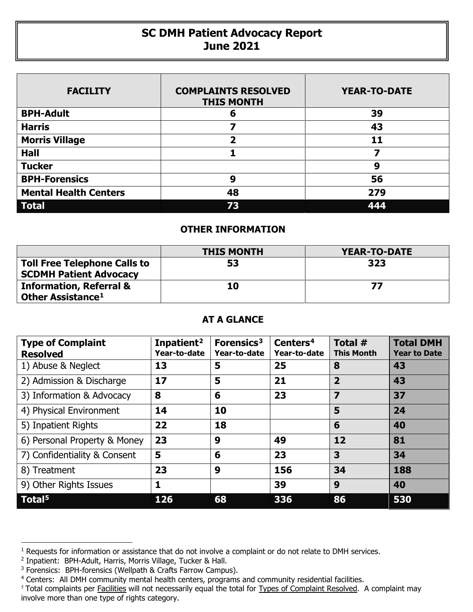## **SC DMH Patient Advocacy Report June 2021**

| <b>FACILITY</b>              | <b>COMPLAINTS RESOLVED</b><br><b>THIS MONTH</b> | <b>YEAR-TO-DATE</b> |
|------------------------------|-------------------------------------------------|---------------------|
| <b>BPH-Adult</b>             | 6                                               | 39                  |
| <b>Harris</b>                |                                                 | 43                  |
| <b>Morris Village</b>        | 2                                               | 11                  |
| <b>Hall</b>                  |                                                 |                     |
| <b>Tucker</b>                |                                                 | 9                   |
| <b>BPH-Forensics</b>         | 9                                               | 56                  |
| <b>Mental Health Centers</b> | 48                                              | 279                 |
| <b>Total</b>                 | 73                                              | 444                 |

## **OTHER INFORMATION**

|                                                                      | <b>THIS MONTH</b> | <b>YEAR-TO-DATE</b> |
|----------------------------------------------------------------------|-------------------|---------------------|
| <b>Toll Free Telephone Calls to</b><br><b>SCDMH Patient Advocacy</b> | 53                | 323                 |
| <b>Information, Referral &amp;</b><br>Other Assistance <sup>1</sup>  | 10                | 77                  |

## **AT A GLANCE**

| <b>Type of Complaint</b><br><b>Resolved</b> | Inpatient <sup>2</sup><br>Year-to-date | Forensics <sup>3</sup><br>Year-to-date | Centers <sup>4</sup><br>Year-to-date | Total #<br><b>This Month</b> | <b>Total DMH</b><br><b>Year to Date</b> |
|---------------------------------------------|----------------------------------------|----------------------------------------|--------------------------------------|------------------------------|-----------------------------------------|
| 1) Abuse & Neglect                          | 13                                     | 5                                      | 25                                   | 8                            | 43                                      |
| 2) Admission & Discharge                    | 17                                     | 5                                      | 21                                   | $\overline{2}$               | 43                                      |
| 3) Information & Advocacy                   | 8                                      | 6                                      | 23                                   | $\overline{\mathbf{z}}$      | 37                                      |
| 4) Physical Environment                     | 14                                     | 10                                     |                                      | 5                            | 24                                      |
| 5) Inpatient Rights                         | 22                                     | 18                                     |                                      | 6                            | 40                                      |
| 6) Personal Property & Money                | 23                                     | 9                                      | 49                                   | 12                           | 81                                      |
| 7) Confidentiality & Consent                | 5                                      | 6                                      | 23                                   | 3                            | 34                                      |
| 8) Treatment                                | 23                                     | 9                                      | 156                                  | 34                           | 188                                     |
| 9) Other Rights Issues                      | 1                                      |                                        | 39                                   | 9                            | 40                                      |
| Total <sup>5</sup>                          | 126                                    | 68                                     | 336                                  | 86                           | 530                                     |

 $\overline{a}$ 

<span id="page-0-0"></span> $1$  Requests for information or assistance that do not involve a complaint or do not relate to DMH services.

<span id="page-0-1"></span><sup>2</sup> Inpatient: BPH-Adult, Harris, Morris Village, Tucker & Hall.

<span id="page-0-2"></span><sup>&</sup>lt;sup>3</sup> Forensics: BPH-forensics (Wellpath & Crafts Farrow Campus).

<span id="page-0-3"></span><sup>4</sup> Centers: All DMH community mental health centers, programs and community residential facilities.

<span id="page-0-4"></span><sup>&</sup>lt;sup>5</sup> Total complaints per Facilities will not necessarily equal the total for Types of Complaint Resolved. A complaint may involve more than one type of rights category.